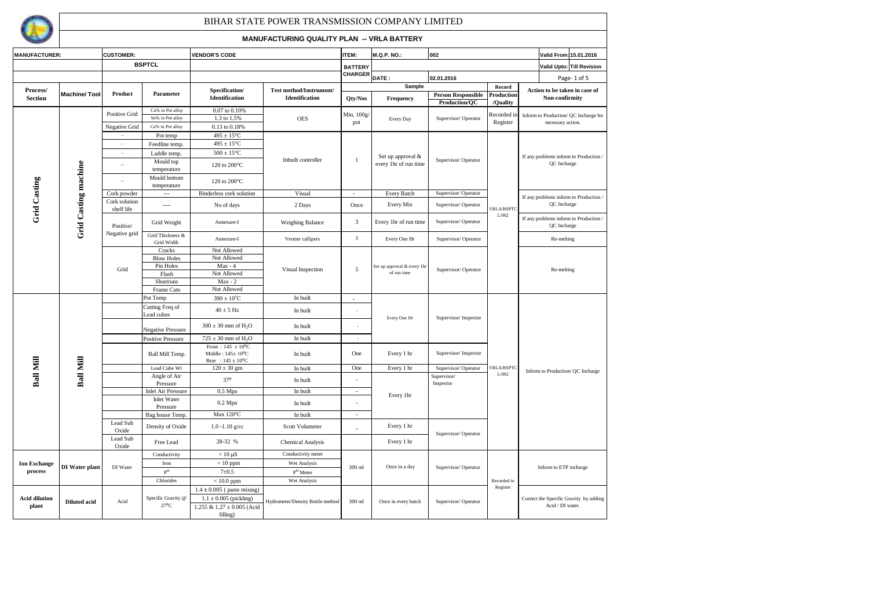

| <b>MANUFACTURER:</b>          |                      | <b>CUSTOMER:</b>         |                                      | <b>VENDOR'S CODE</b>                                                                                                          |                                                  | <b>ITEM:</b>             | <b>M.Q.P. NO.:</b><br>002                 |                                            |                                                    | Valid From: 15.01.2016                                                                                                                                                                                                                                                                                               |  |  |  |
|-------------------------------|----------------------|--------------------------|--------------------------------------|-------------------------------------------------------------------------------------------------------------------------------|--------------------------------------------------|--------------------------|-------------------------------------------|--------------------------------------------|----------------------------------------------------|----------------------------------------------------------------------------------------------------------------------------------------------------------------------------------------------------------------------------------------------------------------------------------------------------------------------|--|--|--|
|                               |                      | <b>BSPTCL</b>            |                                      |                                                                                                                               |                                                  | <b>BATTERY</b>           |                                           |                                            |                                                    |                                                                                                                                                                                                                                                                                                                      |  |  |  |
|                               |                      |                          |                                      |                                                                                                                               |                                                  | <b>CHARGER</b>           |                                           |                                            |                                                    |                                                                                                                                                                                                                                                                                                                      |  |  |  |
|                               |                      |                          |                                      |                                                                                                                               |                                                  |                          | DATE:<br>Sample                           | 02.01.2016                                 | Record                                             |                                                                                                                                                                                                                                                                                                                      |  |  |  |
| Process/<br><b>Section</b>    | <b>Machine/Tool</b>  | Product                  | Parameter                            | Specification/<br><b>Identification</b>                                                                                       | Test method/Instrument/<br><b>Identification</b> | Qty/Nos                  | Frequency                                 | <b>Person Responsible</b><br>Production/QC | Production<br>/Ouality                             | Action to be taken in case of<br>Non-confirmity                                                                                                                                                                                                                                                                      |  |  |  |
|                               |                      | Positive Grid            | Ca% in Pot alloy<br>Sn% in Pot alloy | 0.07 to 0.10%<br>1.3 to 1.5%                                                                                                  | <b>OES</b>                                       | Min. $100g/$             | Every Day                                 | Supervisor/Operator                        | Recorded in                                        | Inform to Production/QC Incharge for                                                                                                                                                                                                                                                                                 |  |  |  |
|                               |                      | Negative Grid            | Ca% in Pot alloy                     | 0.13 to 0.18%                                                                                                                 |                                                  | pot                      |                                           |                                            | Register                                           |                                                                                                                                                                                                                                                                                                                      |  |  |  |
|                               |                      |                          | Pot temp                             | $495 \pm 15^{\circ}$ C                                                                                                        |                                                  |                          |                                           |                                            |                                                    |                                                                                                                                                                                                                                                                                                                      |  |  |  |
|                               |                      | $\overline{\phantom{a}}$ | Feedline temp.                       | $495\pm15^{\circ}\textrm{C}$                                                                                                  |                                                  |                          |                                           |                                            |                                                    |                                                                                                                                                                                                                                                                                                                      |  |  |  |
|                               |                      | ٠                        | Laddle temp.                         | $500\pm15^{\circ}\mathrm{C}$                                                                                                  |                                                  |                          | Set up approval &                         |                                            |                                                    |                                                                                                                                                                                                                                                                                                                      |  |  |  |
|                               |                      |                          | Mould top<br>temperature             | 120 to 200°C                                                                                                                  | Inbuilt controller                               | -1                       | every 1hr of run time                     | Supervisor/Operator                        |                                                    | QC Incharge                                                                                                                                                                                                                                                                                                          |  |  |  |
| Grid Casting                  |                      |                          | Mould bottom<br>temperature          | 120 to 200°C                                                                                                                  |                                                  |                          |                                           |                                            |                                                    |                                                                                                                                                                                                                                                                                                                      |  |  |  |
|                               |                      | Cork powder              | $\sim$                               | Binderless cork solution                                                                                                      | Visual                                           | $\sim$                   | Every Batch                               | Supervisor/Operator                        |                                                    | Valid Upto: Till Revision<br>Page-1 of 5<br>necessary action.<br>If any problems inform to Production /<br>If any problems inform to Production /<br>QC Incharge<br>If any problems inform to Production /<br>QC Incharge<br>Re-melting<br>Re-melting<br>Inform to Production/ QC Incharge<br>Inform to ETP incharge |  |  |  |
|                               |                      | Cork solution            | ----                                 | No of days                                                                                                                    | 2 Days                                           | Once                     | Every Mix                                 | Supervisor/Operator                        | <b>VRLA/BSPTC</b>                                  |                                                                                                                                                                                                                                                                                                                      |  |  |  |
|                               | Grid Casting machine | shelf life<br>Positive/  | Grid Weight                          | Annexure-I                                                                                                                    | Weighing Balance                                 | 3                        | Every 1hr of run time                     | Supervisor/Operator                        | L/002                                              |                                                                                                                                                                                                                                                                                                                      |  |  |  |
|                               |                      | Negative grid            | Grid Thickness &<br>Grid Width       | Annexure-I                                                                                                                    | Vernier callipers                                | $\mathbf{3}$             | Every One Hr                              | Supervisor/Operator                        |                                                    |                                                                                                                                                                                                                                                                                                                      |  |  |  |
|                               |                      |                          | Cracks                               | Not Allowed                                                                                                                   |                                                  |                          |                                           |                                            |                                                    |                                                                                                                                                                                                                                                                                                                      |  |  |  |
|                               |                      |                          | <b>Blow Holes</b>                    | Not Allowed                                                                                                                   |                                                  |                          |                                           |                                            |                                                    |                                                                                                                                                                                                                                                                                                                      |  |  |  |
|                               |                      | Grid                     | Pin Holes                            | $Max - 4$                                                                                                                     | Visual Inspection                                | 5                        | Set up approval & every 1h<br>of run time | Supervisor/Operator                        |                                                    | Acid / DI water.                                                                                                                                                                                                                                                                                                     |  |  |  |
|                               |                      |                          | Flash<br>Shortruns                   | Not Allowed<br>$Max - 2$                                                                                                      |                                                  |                          |                                           |                                            |                                                    |                                                                                                                                                                                                                                                                                                                      |  |  |  |
|                               |                      |                          | Frame Cuts                           | Not Allowed                                                                                                                   |                                                  |                          |                                           |                                            |                                                    |                                                                                                                                                                                                                                                                                                                      |  |  |  |
|                               |                      |                          | Pot Temp                             | $390 \pm 10^{\circ}$ C                                                                                                        | In built                                         |                          |                                           |                                            |                                                    |                                                                                                                                                                                                                                                                                                                      |  |  |  |
|                               |                      |                          | Cutting Freq of<br>Lead cubes        | $40 \pm 5$ Hz                                                                                                                 | In built                                         |                          | Every One Hr                              |                                            |                                                    |                                                                                                                                                                                                                                                                                                                      |  |  |  |
|                               |                      |                          | Negative Pressure                    | $300 \pm 30$ mm of H <sub>2</sub> O                                                                                           | In built                                         |                          |                                           |                                            |                                                    |                                                                                                                                                                                                                                                                                                                      |  |  |  |
|                               |                      |                          | <b>Positive Pressure</b>             | $725 \pm 30$ mm of $H_2O$                                                                                                     | In built                                         | $\sim$                   |                                           |                                            | Supervisor/Inspector<br><b>VRLA/BSPTC</b><br>L/002 |                                                                                                                                                                                                                                                                                                                      |  |  |  |
|                               |                      |                          | Ball Mill Temp.                      | Front: $145 \pm 10^{\circ}$ C<br>Middle: $145 \pm 10$ <sup>o</sup> C<br>One<br>In built<br>Rear : $145 \pm 10$ <sup>o</sup> C |                                                  | Every 1 hr               | Supervisor/Inspector                      |                                            |                                                    |                                                                                                                                                                                                                                                                                                                      |  |  |  |
|                               |                      |                          | Lead Cube Wt                         | $120 \pm 30$ gm                                                                                                               | In built                                         | One                      | Every 1 hr                                | Supervisor/Operator                        |                                                    |                                                                                                                                                                                                                                                                                                                      |  |  |  |
| <b>Ball Mill</b>              | Ball Mill            |                          | Angle of Air<br>Pressure             | $37^{\circ}$                                                                                                                  | In built                                         | $\sim$                   |                                           | Supervisor/<br>Inspector                   |                                                    |                                                                                                                                                                                                                                                                                                                      |  |  |  |
|                               |                      |                          | <b>Inlet Air Pressure</b>            | $0.5$ Mpa                                                                                                                     | In built                                         | $\omega$                 | Every 1hr                                 |                                            |                                                    |                                                                                                                                                                                                                                                                                                                      |  |  |  |
|                               |                      |                          | <b>Inlet Water</b><br>Pressure       | $0.2$ Mpa                                                                                                                     | In built                                         |                          |                                           |                                            |                                                    |                                                                                                                                                                                                                                                                                                                      |  |  |  |
|                               |                      |                          | Bag house Temp.                      | Max 120°C                                                                                                                     | In built                                         | $\overline{a}$           |                                           |                                            |                                                    |                                                                                                                                                                                                                                                                                                                      |  |  |  |
|                               |                      | Lead Sub<br>Oxide        | Density of Oxide                     | $1.0 - 1.10$ g/cc                                                                                                             | Scott Volumeter                                  | $\overline{\phantom{a}}$ | Every 1 hr                                | Supervisor/Operator                        |                                                    |                                                                                                                                                                                                                                                                                                                      |  |  |  |
|                               |                      | Lead Sub<br>Oxide        | Free Lead                            | 28-32 %                                                                                                                       | Chemical Analysis                                |                          | Every 1 hr                                |                                            |                                                    |                                                                                                                                                                                                                                                                                                                      |  |  |  |
|                               |                      |                          | Conductivity                         | $< 10 \mu S$                                                                                                                  | Conductivity meter                               |                          |                                           |                                            |                                                    |                                                                                                                                                                                                                                                                                                                      |  |  |  |
| <b>Ion Exchange</b>           | DI Water plant       | DI Water                 | Iron                                 | $< 10$ ppm                                                                                                                    | Wet Analysis                                     | 300 ml                   | Once in a day                             | Supervisor/Operator                        |                                                    |                                                                                                                                                                                                                                                                                                                      |  |  |  |
| process                       |                      |                          | $\mathbf{P}^{\mathrm{H}}$            | $7 + 0.5$                                                                                                                     | $\textbf{P}^\text{H}$ Meter                      |                          |                                           |                                            |                                                    |                                                                                                                                                                                                                                                                                                                      |  |  |  |
|                               |                      |                          | Chlorides                            | $< 10.0$ ppm                                                                                                                  | Wet Analysis                                     |                          |                                           |                                            | Recorded in                                        |                                                                                                                                                                                                                                                                                                                      |  |  |  |
| <b>Acid dilution</b><br>plant | <b>Diluted acid</b>  | Acid                     | Specific Gravity @<br>$27^{\circ}$ C | $1.4 \pm 0.005$ (paste mixing)<br>$1.1 \pm 0.005$ (pickling)<br>1.255 & $1.27 \pm 0.005$ (Acid                                | Hydrometer/Density Bottle method                 | 300 ml                   | Once in every batch                       | Supervisor/Operator                        | Register                                           | Correct the Specific Gravity by adding                                                                                                                                                                                                                                                                               |  |  |  |
|                               |                      |                          |                                      | filling)                                                                                                                      |                                                  |                          |                                           |                                            |                                                    |                                                                                                                                                                                                                                                                                                                      |  |  |  |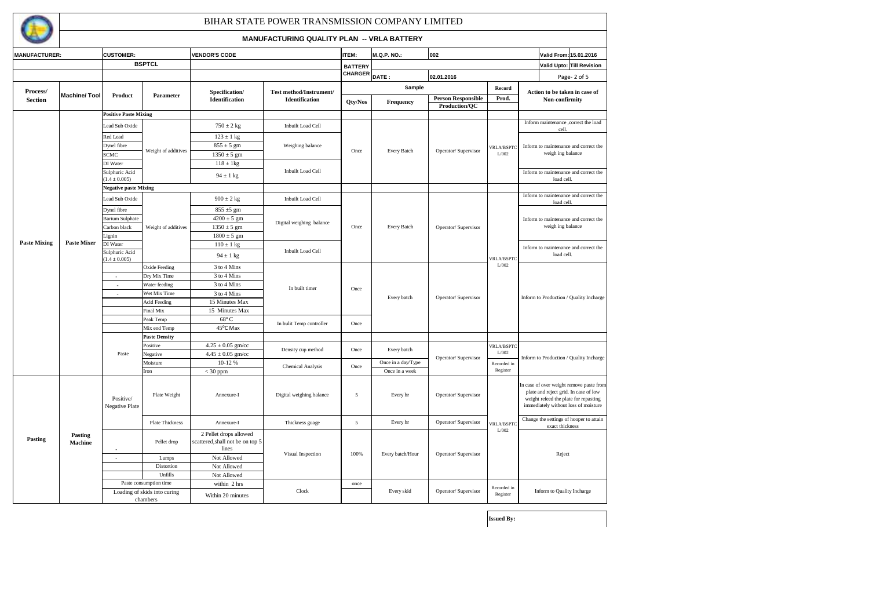| V. |  |
|----|--|
|    |  |
|    |  |

### **MANUFACTURING QUALITY PLAN -- VRLA BATTERY**

| <b>MANUFACTURER:</b>       |                           | <b>CUSTOMER:</b>                         |                        | <b>VENDOR'S CODE</b>                                                |                          | <b>ITEM:</b>   | <b>M.Q.P. NO.:</b> | 002                       |                                                                                                        | Valid From: 15.01.2016                                                                                                                                             |  |
|----------------------------|---------------------------|------------------------------------------|------------------------|---------------------------------------------------------------------|--------------------------|----------------|--------------------|---------------------------|--------------------------------------------------------------------------------------------------------|--------------------------------------------------------------------------------------------------------------------------------------------------------------------|--|
|                            |                           | <b>BSPTCL</b>                            |                        |                                                                     |                          | <b>BATTERY</b> |                    |                           |                                                                                                        | Valid Upto: Till Revision                                                                                                                                          |  |
|                            |                           |                                          |                        |                                                                     |                          | <b>CHARGER</b> | DATE:              | 02.01.2016                |                                                                                                        | Page-2 of 5                                                                                                                                                        |  |
|                            |                           |                                          |                        |                                                                     |                          |                | Sample             |                           | Record                                                                                                 |                                                                                                                                                                    |  |
| Process/<br><b>Section</b> | <b>Machine/Tool</b>       | Product                                  | Parameter              | Specification/                                                      | Test method/Instrument/  |                |                    |                           |                                                                                                        | Action to be taken in case of                                                                                                                                      |  |
|                            |                           |                                          |                        | Identification                                                      | Identification           | Qty/Nos        | Frequency          | <b>Person Responsible</b> | Prod.                                                                                                  | Non-confirmity                                                                                                                                                     |  |
|                            |                           | <b>Positive Paste Mixing</b>             |                        |                                                                     |                          |                |                    | Production/QC             |                                                                                                        |                                                                                                                                                                    |  |
|                            |                           |                                          |                        |                                                                     |                          |                |                    |                           |                                                                                                        | Inform maintenance , correct the load                                                                                                                              |  |
|                            |                           | Lead Sub Oxide                           |                        | $750 \pm 2$ kg                                                      | <b>Inbuilt Load Cell</b> |                |                    |                           |                                                                                                        | cell.                                                                                                                                                              |  |
|                            |                           | Red Lead                                 |                        | $123 \pm 1$ kg                                                      |                          |                |                    |                           |                                                                                                        |                                                                                                                                                                    |  |
|                            |                           | Dynel fibre                              |                        | $855 \pm 5$ gm                                                      | Weighing balance         |                |                    |                           | <b>VRLA/BSPTC</b>                                                                                      | Inform to maintenance and correct the                                                                                                                              |  |
|                            |                           | <b>SCMC</b>                              | Weight of additives    | $1350 \pm 5$ gm                                                     |                          | Once           | Every Batch        | Operator/ Supervisor      | L/002                                                                                                  | weigh ing balance                                                                                                                                                  |  |
|                            |                           | DI Water                                 |                        | $118 \pm 1$ kg                                                      |                          |                |                    |                           |                                                                                                        |                                                                                                                                                                    |  |
|                            |                           | Sulphuric Acid                           |                        |                                                                     | Inbuilt Load Cell        |                |                    |                           |                                                                                                        | Inform to maintenance and correct the                                                                                                                              |  |
|                            |                           | $(1.4 \pm 0.005)$                        |                        | $94 \pm 1$ kg                                                       |                          |                |                    |                           |                                                                                                        | load cell.                                                                                                                                                         |  |
|                            |                           | <b>Negative paste Mixing</b>             |                        |                                                                     |                          |                |                    |                           |                                                                                                        |                                                                                                                                                                    |  |
|                            |                           | Lead Sub Oxide                           |                        | $900 \pm 2$ kg                                                      | <b>Inbuilt Load Cell</b> |                |                    |                           |                                                                                                        | Inform to maintenance and correct the                                                                                                                              |  |
|                            |                           | Dynel fibre                              |                        | $855 \pm 5$ gm                                                      |                          |                |                    |                           |                                                                                                        | load cell.                                                                                                                                                         |  |
|                            |                           | <b>Barium Sulphate</b>                   |                        | $4200 \pm 5$ gm                                                     |                          |                |                    |                           |                                                                                                        |                                                                                                                                                                    |  |
| <b>Paste Mixing</b>        |                           | Carbon black                             | Weight of additives    | $1350 \pm 5$ gm                                                     | Digital weighing balance | Once           | Every Batch        | Operator/ Supervisor      | Inform to maintenance and correct the<br>weigh ing balance<br>load cell.<br><b>VRLA/BSPTC</b><br>L/002 |                                                                                                                                                                    |  |
|                            |                           | Lignin                                   |                        | $1800 \pm 5$ gm                                                     |                          |                |                    |                           |                                                                                                        | Inform to maintenance and correct the                                                                                                                              |  |
|                            | <b>Paste Mixer</b>        | DI Water                                 |                        | $110 \pm 1$ kg                                                      |                          |                |                    |                           |                                                                                                        |                                                                                                                                                                    |  |
|                            |                           | Sulphuric Acid                           |                        |                                                                     | <b>Inbuilt Load Cell</b> |                |                    |                           |                                                                                                        |                                                                                                                                                                    |  |
|                            |                           | $(1.4 \pm 0.005)$                        |                        | $94 \pm 1$ kg                                                       |                          |                |                    |                           |                                                                                                        |                                                                                                                                                                    |  |
|                            |                           |                                          | <b>Oxide Feeding</b>   | 3 to 4 Mins                                                         |                          |                |                    |                           |                                                                                                        |                                                                                                                                                                    |  |
|                            |                           | $\sim$                                   | Dry Mix Time           | 3 to 4 Mins                                                         |                          |                |                    |                           |                                                                                                        |                                                                                                                                                                    |  |
|                            |                           | $\sim$                                   | Water feeding          | 3 to 4 Mins                                                         | In built timer           | Once           |                    |                           |                                                                                                        |                                                                                                                                                                    |  |
|                            |                           |                                          | Wet Mix Time           | 3 to 4 Mins                                                         |                          |                | Every batch        | Operator/ Supervisor      |                                                                                                        | Inform to Production / Quality Incharge                                                                                                                            |  |
|                            |                           |                                          | <b>Acid Feeding</b>    | 15 Minutes Max                                                      |                          |                |                    |                           |                                                                                                        |                                                                                                                                                                    |  |
|                            |                           |                                          | Final Mix              | 15 Minutes Max                                                      |                          |                |                    |                           |                                                                                                        |                                                                                                                                                                    |  |
|                            |                           |                                          | Peak Temp              | 68° C                                                               | In bulit Temp controller | Once           |                    |                           |                                                                                                        |                                                                                                                                                                    |  |
|                            |                           |                                          | Mix end Temp           | 45°C Max                                                            |                          |                |                    |                           |                                                                                                        |                                                                                                                                                                    |  |
|                            |                           |                                          | <b>Paste Density</b>   |                                                                     |                          |                |                    |                           |                                                                                                        |                                                                                                                                                                    |  |
|                            |                           |                                          | Positive               | $4.25 \pm 0.05$ gm/cc                                               | Density cup method       | Once           | Every batch        |                           | <b>VRLA/BSPTC</b>                                                                                      |                                                                                                                                                                    |  |
|                            |                           | Paste                                    | Negative               | $4.45 \pm 0.05$ gm/cc                                               |                          |                |                    | Operator/Supervisor       | $\mathrm{L}/002$                                                                                       | Inform to Production / Quality Incharge                                                                                                                            |  |
|                            |                           |                                          | Moisture               | 10-12 %                                                             | <b>Chemical Analysis</b> | Once           | Once in a day/Type |                           | Recorded in                                                                                            |                                                                                                                                                                    |  |
|                            |                           |                                          | Iron                   | $<$ 30 ppm                                                          |                          |                | Once in a week     |                           | Register                                                                                               |                                                                                                                                                                    |  |
|                            |                           | Positive/<br>Negative Plate              | Plate Weight           | Annexure-I                                                          | Digital weighing balance | $\mathfrak{s}$ | Every hr           | Operator/ Supervisor      |                                                                                                        | In case of over weight remove paste from<br>plate and reject grid. In case of low<br>weight refeed the plate for repasting<br>immediately without loss of moisture |  |
|                            |                           |                                          | Plate Thickness        | Annexure-I                                                          | Thickness guage          | $\mathfrak{s}$ | Every hr           | Operator/Supervisor       | <b>VRLA/BSPTC</b>                                                                                      | Change the settings of hooper to attain<br>exact thickness                                                                                                         |  |
| Pasting                    | Pasting<br><b>Machine</b> |                                          | Pellet drop            | 2 Pellet drops allowed<br>scattered, shall not be on top 5<br>lines | Visual Inspection        | 100%           | Every batch/Hour   | Operator/ Supervisor      | L/002                                                                                                  | Reject                                                                                                                                                             |  |
|                            |                           | $\sim$                                   | Lumps                  | Not Allowed                                                         |                          |                |                    |                           |                                                                                                        |                                                                                                                                                                    |  |
|                            |                           |                                          | Distortion             | Not Allowed                                                         |                          |                |                    |                           |                                                                                                        |                                                                                                                                                                    |  |
|                            |                           |                                          | Unfills                | Not Allowed                                                         |                          |                |                    |                           |                                                                                                        |                                                                                                                                                                    |  |
|                            |                           |                                          | Paste consumption time | within 2 hrs                                                        | Clock                    | once           | Every skid         | Operator/ Supervisor      | Recorded in                                                                                            | Inform to Quality Incharge                                                                                                                                         |  |
|                            |                           | Loading of skids into curing<br>chambers |                        | Within 20 minutes                                                   |                          |                |                    |                           | Register                                                                                               |                                                                                                                                                                    |  |

**Issued By:**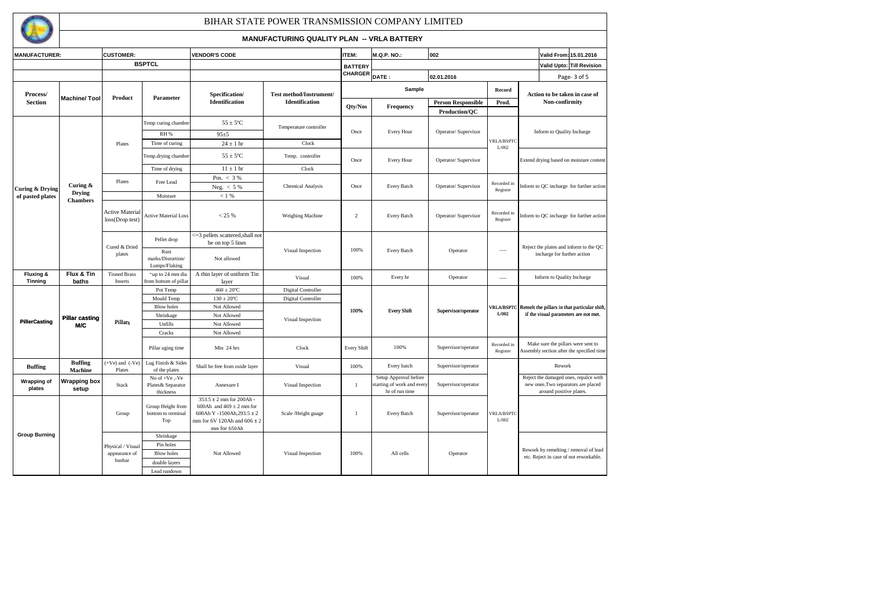

| <b>MANUFACTURER:</b>         |                                     | <b>CUSTOMER:</b>                             |                                                                              | <b>VENDOR'S CODE</b>                                                                                                                      |                                                  | ITEM:              | <b>M.Q.P. NO.:</b><br>002                                             |                                            |                            | Valid From: 15.01.2016                                                                                  |  |  |
|------------------------------|-------------------------------------|----------------------------------------------|------------------------------------------------------------------------------|-------------------------------------------------------------------------------------------------------------------------------------------|--------------------------------------------------|--------------------|-----------------------------------------------------------------------|--------------------------------------------|----------------------------|---------------------------------------------------------------------------------------------------------|--|--|
|                              |                                     | <b>BSPTCL</b>                                |                                                                              |                                                                                                                                           |                                                  | <b>BATTERY</b>     |                                                                       |                                            |                            | Valid Upto: Till Revision                                                                               |  |  |
|                              |                                     |                                              |                                                                              |                                                                                                                                           |                                                  | CHARGER            | DATE:                                                                 | 02.01.2016                                 |                            | Page-3 of 5                                                                                             |  |  |
| Process/                     | <b>Machine/Tool</b>                 | Product                                      | Parameter                                                                    | Specification/<br><b>Identification</b>                                                                                                   | Test method/Instrument/<br><b>Identification</b> |                    | Sample                                                                |                                            | Record                     | Action to be taken in case of                                                                           |  |  |
| <b>Section</b>               |                                     |                                              |                                                                              |                                                                                                                                           |                                                  | Qty/Nos            | Frequency                                                             | <b>Person Responsible</b><br>Production/OC | Prod.                      | Non-confirmity                                                                                          |  |  |
|                              |                                     |                                              | Temp curing chamber                                                          | $55 \pm 5^{\circ}$ C                                                                                                                      | Temperature controller                           |                    |                                                                       |                                            |                            |                                                                                                         |  |  |
|                              |                                     |                                              | <b>RH %</b>                                                                  | $95 + 5$                                                                                                                                  |                                                  | Once               | <b>Every Hour</b>                                                     | Operator/Supervisor                        |                            | Inform to Quality Incharge                                                                              |  |  |
|                              |                                     | Plates                                       | Time of curing                                                               | $24\pm1\;{\rm hr}$                                                                                                                        | Clock                                            |                    |                                                                       |                                            | <b>VRLA/BSPTC</b><br>L/002 |                                                                                                         |  |  |
|                              |                                     |                                              | Temp.drying chamber                                                          | $55 \pm 5^{\circ}$ C                                                                                                                      | Temp. controller                                 | Once               | <b>Every Hour</b>                                                     | Operator/Supervisor                        |                            | Extend drying based on moisture content                                                                 |  |  |
|                              |                                     |                                              | Time of drying                                                               | $11 \pm 1$ hr                                                                                                                             | Clock                                            |                    |                                                                       |                                            |                            |                                                                                                         |  |  |
|                              |                                     | Plates                                       | Free Lead                                                                    | Pos. $< 3\%$                                                                                                                              |                                                  |                    |                                                                       |                                            |                            |                                                                                                         |  |  |
| Curing & Drying              | Curing &<br><b>Drying</b>           |                                              |                                                                              | Neg. $< 5%$                                                                                                                               | Chemical Analysis                                | Once               | Every Batch                                                           | Operator/Supervisor                        | Recorded in<br>Register    | Inform to QC incharge for further action                                                                |  |  |
| of pasted plates             | <b>Chambers</b>                     |                                              | Moisture                                                                     | < 1%                                                                                                                                      |                                                  |                    |                                                                       |                                            |                            |                                                                                                         |  |  |
|                              |                                     | <b>Active Material</b><br>loss(Drop test)    | <b>Active Material Loss</b>                                                  | < 25 %                                                                                                                                    | Weighing Machine                                 | $\overline{2}$     | Every Batch                                                           | Operator/Supervisor                        | Recorded in<br>Register    | Inform to QC incharge for further action                                                                |  |  |
|                              |                                     | Cured & Dried                                | Pellet drop                                                                  | <= 3 pellets scattered, shall not<br>be on top 5 lines                                                                                    |                                                  |                    |                                                                       |                                            |                            | Reject the plates and inform to the QC                                                                  |  |  |
|                              |                                     | plates                                       | Rust<br>marks/Distortion/<br>Lumps/Flaking                                   | Not allowed                                                                                                                               | Visual Inspection                                | 100%               | Every Batch                                                           | Operator                                   | -----                      | incharge for further action                                                                             |  |  |
| Fluxing &                    | Flux & Tin                          | <b>Tinned Brass</b>                          | ~up to 24 mm dia                                                             | A thin layer of uniform Tin                                                                                                               | Visual                                           | 100%               | Every hr                                                              | Operator                                   |                            | Inform to Quality Incharge                                                                              |  |  |
| <b>Tinning</b>               | baths                               | Inserts                                      | from bottom of pillar<br>Pot Temp                                            | layer<br>$460\pm20^oC$                                                                                                                    | Digital Controller                               |                    |                                                                       |                                            |                            |                                                                                                         |  |  |
|                              | <b>Pillar casting</b><br><b>M/C</b> |                                              | Mould Temp                                                                   | $130 \pm 20^{\circ}$ C                                                                                                                    | Digital Controller                               |                    |                                                                       |                                            |                            |                                                                                                         |  |  |
|                              |                                     |                                              | <b>Blow holes</b>                                                            | Not Allowed                                                                                                                               |                                                  |                    | <b>Every Shift</b>                                                    | Supervisor/operator                        |                            | /RLA/BSPTC Remelt the pillars in that particular shift,                                                 |  |  |
|                              |                                     |                                              | Shrinkage                                                                    | Not Allowed                                                                                                                               |                                                  | 100%               |                                                                       |                                            | L/002                      | if the visual parameters are not met.                                                                   |  |  |
| <b>PillerCasting</b>         |                                     | <b>Pillars</b>                               | Unfills                                                                      | Not Allowed                                                                                                                               | Visual Inspection                                |                    |                                                                       |                                            |                            |                                                                                                         |  |  |
|                              |                                     |                                              | Cracks                                                                       | Not Allowed                                                                                                                               |                                                  |                    |                                                                       |                                            |                            |                                                                                                         |  |  |
|                              |                                     |                                              | Pillar aging time                                                            | Min 24 hrs                                                                                                                                | Clock                                            | <b>Every Shift</b> | 100%                                                                  | Supervisor/operator                        | Recorded in<br>Register    | Make sure the pillars were sent to<br>Assembly section after the specified time                         |  |  |
| <b>Buffing</b>               | <b>Buffing</b><br><b>Machine</b>    | $(+Ve)$ and $(-Ve)$<br>Plates                | Lug Finish & Sides<br>of the plates                                          | Shall be free from oxide layer                                                                                                            | Visual                                           | 100%               | Every batch                                                           | Supervisor/operator                        |                            | Rework                                                                                                  |  |  |
| <b>Wrapping of</b><br>plates | <b>Wrapping box</b><br>setup        | Stack                                        | No of +Ve,-Ve<br>Plates& Separator<br>thickness                              | Annexure I                                                                                                                                | Visual Inspection                                | -1                 | Setup Approval before<br>starting of work and every<br>hr of run time | Supervisor/operator                        |                            | Reject the damaged ones, repalce with<br>new ones. Two separators are placed<br>around positive plates. |  |  |
|                              |                                     | Group                                        | Group Height from<br>bottom to terminal<br>Top                               | $353.5 \pm 2$ mm for 200Ah -<br>600Ah and $469 \pm 2$ mm for<br>600Ah Y -1500Ah, 293.5 ± 2<br>mm for 6V 120Ah and 606 ± 2<br>mm for 650Ah | Scale /Height guage                              | -1                 | Every Batch                                                           | Supervisor/operator                        | /RLA/BSPTC<br>L/002        |                                                                                                         |  |  |
| <b>Group Burning</b>         |                                     | Physical / Visual<br>appearance of<br>busbar | Shrinkage<br>Pin holes<br><b>Blow holes</b><br>double layers<br>Lead rundown | Not Allowed                                                                                                                               | Visual Inspection                                | 100%               | All cells                                                             | Operator                                   |                            | Rework by remelting / removal of lead<br>etc. Reject in case of not reworkable.                         |  |  |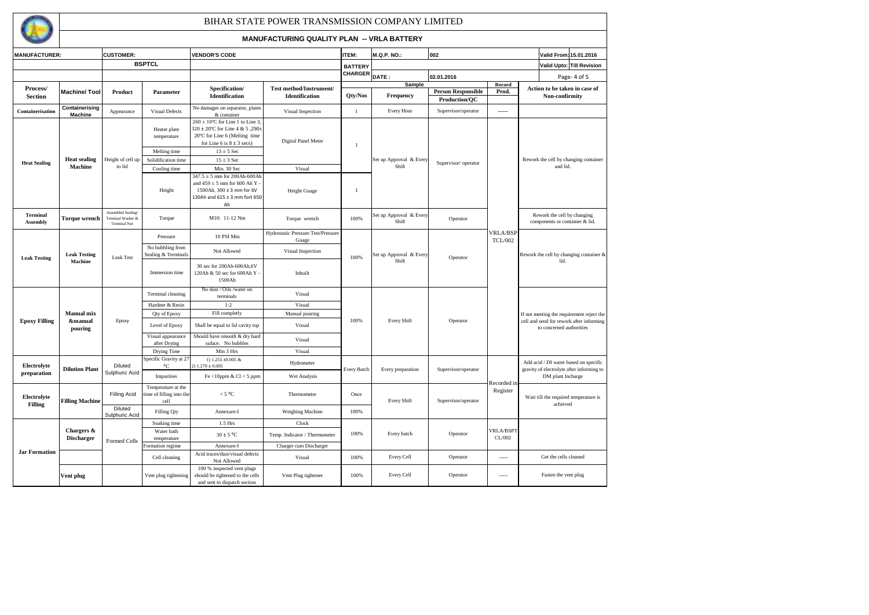

| <b>MANUFACTURER:</b>                              |                                  | <b>CUSTOMER:</b>                                               |                                                        | <b>VENDOR'S CODE</b>                                                                                                                                               |                                                  | <b>ITEM:</b>       | <b>M.Q.P. NO.:</b>               | 002                       |                                   |                                                                                                                                  | Valid From: 15.01.2016                                                                                                                                                                                                                                                                                                                                                                                                                    |  |
|---------------------------------------------------|----------------------------------|----------------------------------------------------------------|--------------------------------------------------------|--------------------------------------------------------------------------------------------------------------------------------------------------------------------|--------------------------------------------------|--------------------|----------------------------------|---------------------------|-----------------------------------|----------------------------------------------------------------------------------------------------------------------------------|-------------------------------------------------------------------------------------------------------------------------------------------------------------------------------------------------------------------------------------------------------------------------------------------------------------------------------------------------------------------------------------------------------------------------------------------|--|
|                                                   |                                  |                                                                | <b>BSPTCL</b>                                          |                                                                                                                                                                    |                                                  | <b>BATTERY</b>     |                                  |                           |                                   |                                                                                                                                  | Valid Upto: Till Revision                                                                                                                                                                                                                                                                                                                                                                                                                 |  |
|                                                   |                                  |                                                                |                                                        |                                                                                                                                                                    |                                                  | CHARGER            | DATE:                            | 02.01.2016                |                                   |                                                                                                                                  |                                                                                                                                                                                                                                                                                                                                                                                                                                           |  |
|                                                   |                                  |                                                                |                                                        |                                                                                                                                                                    |                                                  |                    | Sample                           |                           | Record                            |                                                                                                                                  |                                                                                                                                                                                                                                                                                                                                                                                                                                           |  |
| Process/<br><b>Machine/Tool</b><br><b>Section</b> |                                  | Product                                                        | Parameter                                              | Specification/<br><b>Identification</b>                                                                                                                            | Test method/Instrument/<br><b>Identification</b> | Qty/Nos            | Frequency                        | <b>Person Responsible</b> | Prod.                             |                                                                                                                                  |                                                                                                                                                                                                                                                                                                                                                                                                                                           |  |
|                                                   |                                  |                                                                |                                                        |                                                                                                                                                                    |                                                  |                    |                                  | Production/QC             |                                   |                                                                                                                                  |                                                                                                                                                                                                                                                                                                                                                                                                                                           |  |
| Containerisation                                  | Containerising<br><b>Machine</b> | Appearance                                                     | <b>Visual Defects</b>                                  | No damages on separator, plates<br>& container                                                                                                                     | Visual Inspection                                | $\mathbf{1}$       | Every Hour                       | Supervisor/operator       | $\sim$ $\sim$ $\sim$              |                                                                                                                                  |                                                                                                                                                                                                                                                                                                                                                                                                                                           |  |
|                                                   |                                  |                                                                | Heater plate<br>temperature<br>Melting time            | $260 \pm 10^{\circ}$ C for Line 1 to Line 3,<br>320 ± 20°C for Line 4 & 5,290±<br>20°C for Line 6 (Melting time<br>for Line 6 is $8 \pm 3$ secs)<br>$13 \pm 5$ Sec | Digital Panel Meter                              | $\mathbf{1}$       |                                  |                           |                                   |                                                                                                                                  |                                                                                                                                                                                                                                                                                                                                                                                                                                           |  |
|                                                   | <b>Heat sealing</b>              | Height of cell up                                              | Solidification time                                    | $15 \pm 3$ Sec                                                                                                                                                     |                                                  |                    | Set up Approval & Every          |                           |                                   |                                                                                                                                  | Page-4 of 5<br>Action to be taken in case of<br>Non-confirmity<br>Rework the cell by changing container<br>and lid.<br>Rework the cell by changing<br>components or container & lid.<br>lid.<br>to concerned authorities<br>Add acid / DI water based on specific<br>gravity of electrolyte after informing to<br>DM plant Incharge<br>Wait till the required temperature is<br>achieved<br>Get the cells cleaned<br>Fasten the vent plug |  |
| <b>Heat Sealing</b>                               | <b>Machine</b>                   | to lid                                                         | Cooling time                                           | Min. 30 Sec                                                                                                                                                        | Visual                                           |                    | Shift                            | Supervisor/ operator      |                                   |                                                                                                                                  |                                                                                                                                                                                                                                                                                                                                                                                                                                           |  |
|                                                   |                                  |                                                                | Height                                                 | $347.5 \pm 5$ mm for 200Ah-600Ah<br>and $459 \pm 5$ mm for 600 Ah Y -<br>1500Ah, 300 ± 3 mm for 6V<br>120Ah and 615 ± 3 mm fort 650<br>Ah                          | <b>Height Guage</b>                              | $\mathbf{1}$       |                                  |                           |                                   |                                                                                                                                  |                                                                                                                                                                                                                                                                                                                                                                                                                                           |  |
| <b>Terminal</b><br><b>Assembly</b>                | <b>Torque wrench</b>             | Assembled Sealing/<br>Terminal Washer &<br><b>Terminal Nut</b> | Torque                                                 | M10: 11-12 Nm                                                                                                                                                      | Torque wrench                                    | 100%               | Set up Approval & Every<br>Shift | Operator                  |                                   |                                                                                                                                  |                                                                                                                                                                                                                                                                                                                                                                                                                                           |  |
|                                                   |                                  |                                                                | Pressure                                               | 10 PSI Min                                                                                                                                                         | Hydrostatic Pressure Test/Pressure<br>Guage      |                    |                                  |                           | <b>VRLA/BSP</b><br><b>TCL/002</b> |                                                                                                                                  |                                                                                                                                                                                                                                                                                                                                                                                                                                           |  |
| <b>Leak Testing</b>                               | <b>Leak Testing</b><br>Machine   | <b>Leak Test</b>                                               | No bubbling from<br>Sealing & Terminals                | Not Allowed                                                                                                                                                        | Visual Inspection                                | 100%               | Set up Approval & Every<br>Shift | Operator                  |                                   |                                                                                                                                  |                                                                                                                                                                                                                                                                                                                                                                                                                                           |  |
|                                                   |                                  |                                                                | Immersion time                                         | 30 sec for 200Ah-600Ah, 6V<br>120Ah & 50 sec for 600Ah Y<br>1500Ah                                                                                                 | Inbuilt                                          |                    |                                  |                           |                                   |                                                                                                                                  |                                                                                                                                                                                                                                                                                                                                                                                                                                           |  |
|                                                   |                                  |                                                                | Terminal cleaning                                      | No dust / Oils /water on<br>terminals                                                                                                                              | Visual                                           |                    |                                  |                           |                                   | Rework the cell by changing container &<br>If not meeting the requirement reject the<br>cell and send for rework after informing |                                                                                                                                                                                                                                                                                                                                                                                                                                           |  |
|                                                   |                                  |                                                                | Hardner & Resin                                        | 1:2                                                                                                                                                                | Visual                                           |                    |                                  |                           |                                   |                                                                                                                                  |                                                                                                                                                                                                                                                                                                                                                                                                                                           |  |
|                                                   | <b>Manual mix</b>                |                                                                | Qty of Epoxy                                           | Fill completly                                                                                                                                                     | Manual pouring                                   |                    |                                  |                           |                                   |                                                                                                                                  |                                                                                                                                                                                                                                                                                                                                                                                                                                           |  |
| <b>Epoxy Filling</b>                              | &manual<br>pouring               | Epoxy                                                          | Level of Epoxy                                         | Shall be equal to lid cavity top                                                                                                                                   | Visual                                           | 100%               | <b>Every Shift</b>               | Operator                  |                                   |                                                                                                                                  |                                                                                                                                                                                                                                                                                                                                                                                                                                           |  |
|                                                   |                                  |                                                                | Visual appearance<br>after Drying                      | Should have smooth & dry hard<br>suface. No bubbles                                                                                                                | Visual                                           |                    |                                  |                           |                                   |                                                                                                                                  |                                                                                                                                                                                                                                                                                                                                                                                                                                           |  |
|                                                   |                                  |                                                                | Drying Time                                            | Min 3 Hrs                                                                                                                                                          | Visual                                           |                    |                                  |                           |                                   |                                                                                                                                  |                                                                                                                                                                                                                                                                                                                                                                                                                                           |  |
| Electrolyte<br>preparation                        | <b>Dilution Plant</b>            | Diluted<br>Sulphuric Acid                                      | Specific Gravity at 27<br>°C                           | 1) 1.255 ±0.005 &<br>$2) 1.270 \pm 0.005$                                                                                                                          | Hydrometer                                       | <b>Every Batch</b> | Every preparation                | Supervisor/operator       |                                   |                                                                                                                                  |                                                                                                                                                                                                                                                                                                                                                                                                                                           |  |
|                                                   |                                  |                                                                | Impurities                                             | Fe <10ppm & $Cl < 5$ ppm                                                                                                                                           | Wet Analysis                                     |                    |                                  |                           |                                   |                                                                                                                                  |                                                                                                                                                                                                                                                                                                                                                                                                                                           |  |
| Electrolyte<br><b>Filling</b>                     | <b>Filling Machine</b>           | <b>Filling Acid</b>                                            | Temperature at the<br>time of filling into the<br>cell | $<$ 5 °C                                                                                                                                                           | Thermometer                                      | Once               | <b>Every Shift</b>               | Supervisor/operator       | Register                          |                                                                                                                                  |                                                                                                                                                                                                                                                                                                                                                                                                                                           |  |
|                                                   |                                  | Diluted<br>Sulphuric Acid                                      | Filling Qty                                            | Annexure-I                                                                                                                                                         | Weighing Machine                                 | 100%               |                                  |                           |                                   |                                                                                                                                  |                                                                                                                                                                                                                                                                                                                                                                                                                                           |  |
|                                                   |                                  |                                                                | Soaking time                                           | 1.5 Hrs                                                                                                                                                            | Clock                                            |                    |                                  |                           |                                   |                                                                                                                                  |                                                                                                                                                                                                                                                                                                                                                                                                                                           |  |
|                                                   | Chargers &<br><b>Discharger</b>  | Formed Cells                                                   | Water bath<br>temperature                              | $30 \pm 5$ °C                                                                                                                                                      | Temp. Indicator / Thermometer                    | 100%               | Every batch                      | Operator                  | CL/002                            | Recorded ir<br><b>VRLA/BSPT</b><br>-----<br>$- - - - -$                                                                          |                                                                                                                                                                                                                                                                                                                                                                                                                                           |  |
| <b>Jar Formation</b>                              |                                  |                                                                | Formation regime                                       | Annexure-I                                                                                                                                                         | Charger cum Discharger                           |                    |                                  |                           |                                   |                                                                                                                                  |                                                                                                                                                                                                                                                                                                                                                                                                                                           |  |
|                                                   |                                  |                                                                | Cell cleaning                                          | Acid traces/dust/visual defects<br>Not Allowed                                                                                                                     | Visual                                           | 100%               | Every Cell                       | Operator                  |                                   |                                                                                                                                  |                                                                                                                                                                                                                                                                                                                                                                                                                                           |  |
|                                                   | Vent plug                        |                                                                | Vent plug tightening                                   | 100 % inspected vent plugs<br>should be tightened to the cells<br>and sent to dispatch section                                                                     | Vent Plug tightener                              | 100%               | Every Cell                       | Operator                  |                                   |                                                                                                                                  |                                                                                                                                                                                                                                                                                                                                                                                                                                           |  |